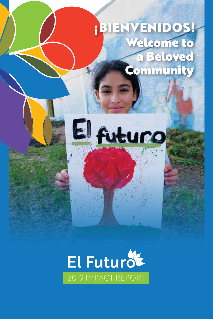# Welcome to **Beloved Community** ¡BIENVENIDOS!



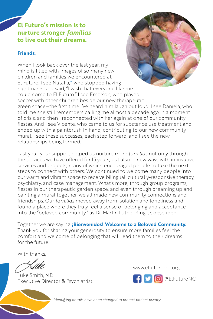# **El Futuro's mission is to nurture stronger** *familias* **to live out their dreams.**

When I look back over the last year, my

### **Friends,**



mind is filled with images of so many new children and families we encountered at El Futuro. I see Natalia,\* who stopped having nightmares and said, "I wish that everyone like me could come to El Futuro." I see Emerson, who played soccer with other children beside our new therapeutic green space—the first time I've heard him laugh out loud. I see Daniela, who told me she still remembers calling me almost a decade ago in a moment of crisis, and then I reconnected with her again at one of our community fiestas. And I see Vicente, who came to us for substance use treatment and ended up with a paintbrush in hand, contributing to our new community mural. I see these successes, each step forward, and I see the new relationships being formed.

Last year, your support helped us nurture more *familias* not only through the services we have offered for 15 years, but also in new ways with innovative services and projects, many of which encouraged people to take the next steps to connect with others. We continued to welcome many people into our warm and vibrant space to receive bilingual, culturally-responsive therapy, psychiatry, and case management. What's more, through group programs, fiestas in our therapeutic garden space, and even through dreaming up and painting a mural together, we all made new community connections and friendships. Our *familias* moved away from isolation and loneliness and found a place where they truly feel a sense of belonging and acceptance into the "beloved community," as Dr. Martin Luther King, Jr. described.

Together we are saying **¡Bienvenidos! Welcome to a Beloved Community.** Thank you for sharing your generosity to ensure more families feel the comfort and welcome of belonging that will lead them to their dreams for the future.

With thanks,

Luke Smith, MD Executive Director & Psychiatrist

www.elfuturo-nc.org



*\*Identifying details have been changed to protect patient privacy*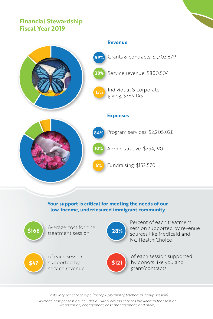## **Financial Stewardship Fiscal Year 2019**



### **Your support is critical for meeting the needs of our low-income, underinsured immigrant community**



**\$47** Supported by **\$121** of each session service revenue



Percent of each treatment session supported by revenue sources like Medicaid and NC Health Choice



of each session supported by donors like you and grant/contracts

*Costs vary per service type (therapy, psychiatry, telehealth, group session)*

*Average cost per session includes all wrap-around services provided to that session (registration, engagement, case management, and more)*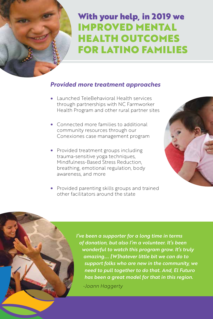# With your help, in 2019 we IMPROVED MENTAL HEALTH OUTCOMES FOR LATINO FAMILIES

## *Provided more treatment approaches*

- Launched TeleBehavioral Health services through partnerships with NC Farmworker Health Program and other rural partner sites
- Connected more families to additional community resources through our Conexiones case management program
- Provided treatment groups including trauma-sensitive yoga techniques, Mindfulness-Based Stress Reduction, breathing, emotional regulation, body awareness, and more
- Provided parenting skills groups and trained other facilitators around the state





*I've been a supporter for a long time in terms of donation, but also I'm a volunteer. It's been wonderful to watch this program grow. It's truly amazing…. [W]hatever little bit we can do to support folks who are new in the community, we need to pull together to do that. And, El Futuro has been a great model for that in this region.* 

*-Joann Haggerty*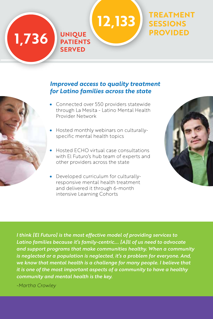# **PROVIDED PROVIDED**

**UNIQUE PATIENTS SERVED**

### *Improved access to quality treatment for Latino families across the state*

**12,133**

- Connected over 550 providers statewide through La Mesita - Latino Mental Health Provider Network
- Hosted monthly webinars on culturallyspecific mental health topics
- Hosted ECHO virtual case consultations with El Futuro's hub team of experts and other providers across the state
- Developed curriculum for culturallyresponsive mental health treatment and delivered it through 6-month intensive Learning Cohorts

**TREATMENT SESSIONS** 

*I think [El Futuro] is the most effective model of providing services to Latino families because it's family-centric…. [A]ll of us need to advocate and support programs that make communities healthy. When a community is neglected or a population is neglected, it's a problem for everyone. And, we know that mental health is a challenge for many people. I believe that it is one of the most important aspects of a community to have a healthy community and mental health is the key.*

*-Martha Crowley*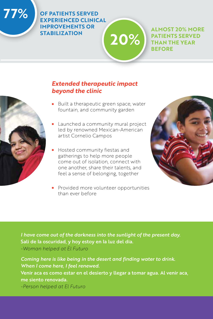# **77%**

**OF PATIENTS SERVED EXPERIENCED CLINICAL IMPROVEMENTS OR STABILIZATION**

**ALMOST 20% MORE PATIENTS SERVED THAN THE YEAR BEFORE**

## *Extended therapeutic impact beyond the clinic*

• Built a therapeutic green space, water fountain, and community garden

**20%**

- Launched a community mural project led by renowned Mexican-American artist Cornelio Campos
- Hosted community fiestas and gatherings to help more people come out of isolation, connect with one another, share their talents, and feel a sense of belonging, together
- Provided more volunteer opportunities than ever before



*I have come out of the darkness into the sunlight of the present day.*  Sali de la oscuridad, y hoy estoy en la luz del dia. *-Woman helped at El Futuro*

*Coming here is like being in the desert and finding water to drink. When I come here, I feel renewed.*  Venir aca es como estar en el desierto y llegar a tomar agua. Al venir aca, me siento renovada. *-Person helped at El Futuro*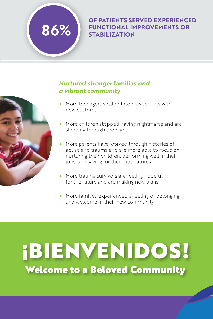

## **OF PATIENTS SERVED EXPERIENCED FUNCTIONAL IMPROVEMENTS OR STABILIZATION**



## *Nurtured stronger* **familias** *and a vibrant community*

- More teenagers settled into new schools with new customs
- More children stopped having nightmares and are sleeping through the night
- More parents have worked through histories of abuse and trauma and are more able to focus on nurturing their children, performing well in their jobs, and saving for their kids' futures
- More trauma survivors are feeling hopeful for the future and are making new plans
- More families experienced a feeling of belonging and welcome in their new community

# Welcome to a Beloved Community ¡BIENVENIDOS!